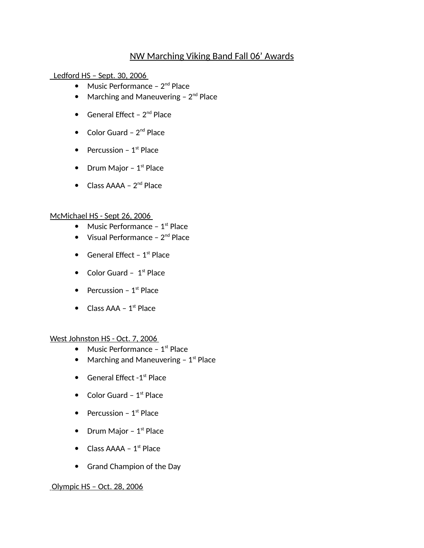# NW Marching Viking Band Fall 06' Awards

Ledford HS – Sept. 30, 2006

- Music Performance  $2^{nd}$  Place
- Marching and Maneuvering  $-2^{nd}$  Place
- General Effect  $2^{nd}$  Place
- Color Guard  $2^{nd}$  Place
- Percussion  $1<sup>st</sup>$  Place
- Drum Major  $1<sup>st</sup>$  Place
- $\bullet$  Class AAAA  $2^{nd}$  Place

#### McMichael HS - Sept 26, 2006

- $\bullet$  Music Performance 1<sup>st</sup> Place
- $\bullet$  Visual Performance  $2^{nd}$  Place
- General Effect  $1<sup>st</sup>$  Place
- Color Guard  $1<sup>st</sup>$  Place
- Percussion  $1<sup>st</sup>$  Place
- $\bullet$  Class AAA 1<sup>st</sup> Place

#### West Johnston HS - Oct. 7, 2006

- Music Performance  $1<sup>st</sup>$  Place
- Marching and Maneuvering  $-1<sup>st</sup>$  Place
- $\bullet$  General Effect -1<sup>st</sup> Place
- $\bullet$  Color Guard 1<sup>st</sup> Place
- Percussion  $1<sup>st</sup>$  Place
- Drum Major  $1<sup>st</sup>$  Place
- Class  $AAA 1^{st}$  Place
- Grand Champion of the Day

## Olympic HS – Oct. 28, 2006